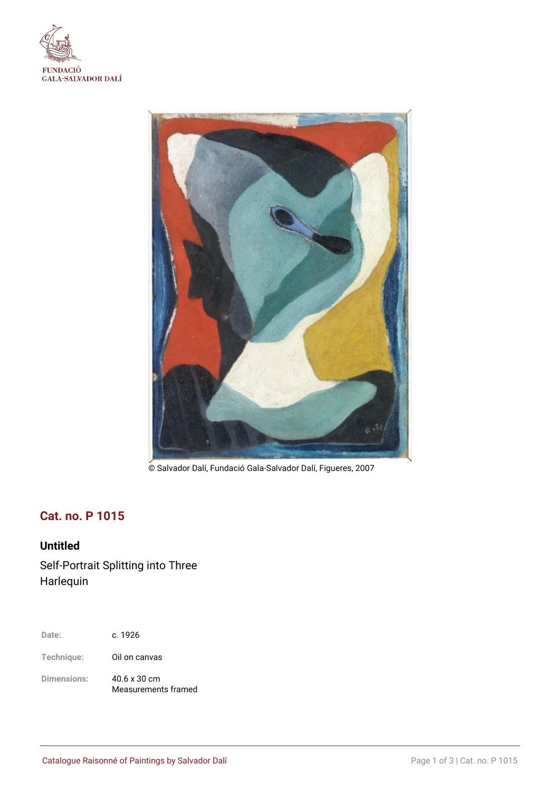



© Salvador Dalí, Fundació Gala-Salvador Dalí, Figueres, 2007

# **Cat. no. P 1015**

## **Untitled**

Self-Portrait Splitting into Three Harlequin

| c. 1926<br>Date: |  |
|------------------|--|
|------------------|--|

**Technique:** Oil on canvas

**Dimensions:** 40.6 x 30 cm Measurements framed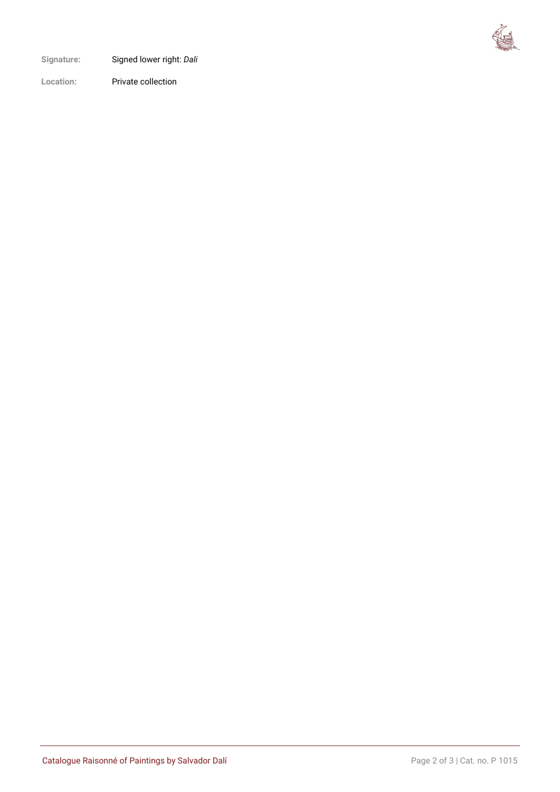

**Signature:** Signed lower right: *Dali*

**Location:** Private collection